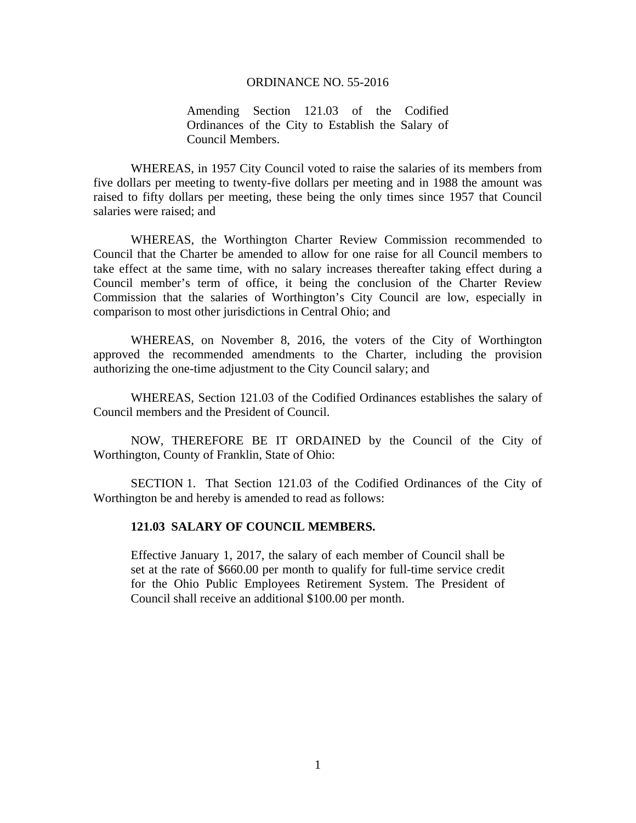## ORDINANCE NO. 55-2016

Amending Section 121.03 of the Codified Ordinances of the City to Establish the Salary of Council Members.

 WHEREAS, in 1957 City Council voted to raise the salaries of its members from five dollars per meeting to twenty-five dollars per meeting and in 1988 the amount was raised to fifty dollars per meeting, these being the only times since 1957 that Council salaries were raised; and

 WHEREAS, the Worthington Charter Review Commission recommended to Council that the Charter be amended to allow for one raise for all Council members to take effect at the same time, with no salary increases thereafter taking effect during a Council member's term of office, it being the conclusion of the Charter Review Commission that the salaries of Worthington's City Council are low, especially in comparison to most other jurisdictions in Central Ohio; and

 WHEREAS, on November 8, 2016, the voters of the City of Worthington approved the recommended amendments to the Charter, including the provision authorizing the one-time adjustment to the City Council salary; and

 WHEREAS, Section 121.03 of the Codified Ordinances establishes the salary of Council members and the President of Council.

NOW, THEREFORE BE IT ORDAINED by the Council of the City of Worthington, County of Franklin, State of Ohio:

SECTION 1. That Section 121.03 of the Codified Ordinances of the City of Worthington be and hereby is amended to read as follows:

## **121.03 SALARY OF COUNCIL MEMBERS.**

Effective January 1, 2017, the salary of each member of Council shall be set at the rate of \$660.00 per month to qualify for full-time service credit for the Ohio Public Employees Retirement System. The President of Council shall receive an additional \$100.00 per month.